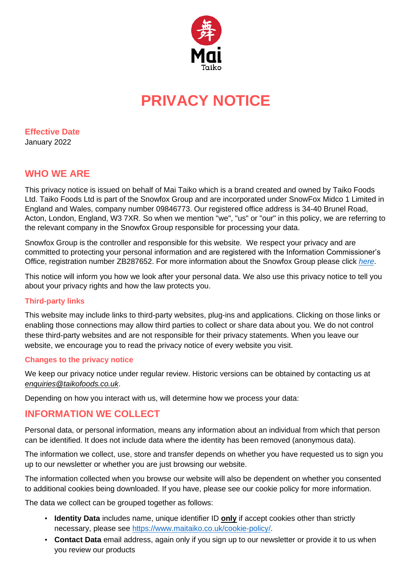

# **PRIVACY NOTICE**

**Effective Date**

January 2022

## **WHO WE ARE**

This privacy notice is issued on behalf of Mai Taiko which is a brand created and owned by Taiko Foods Ltd. Taiko Foods Ltd is part of the Snowfox Group and are incorporated under SnowFox Midco 1 Limited in England and Wales, company number 09846773. Our registered office address is 34-40 Brunel Road, Acton, London, England, W3 7XR. So when we mention "we", "us" or "our" in this policy, we are referring to the relevant company in the Snowfox Group responsible for processing your data.

Snowfox Group is the controller and responsible for this website. We respect your privacy and are committed to protecting your personal information and are registered with the Information Commissioner's Office, registration number ZB287652. For more information about the Snowfox Group please click *[here](https://snowfoxgroup.com/)*.

This notice will inform you how we look after your personal data. We also use this privacy notice to tell you about your privacy rights and how the law protects you.

## **Third-party links**

This website may include links to third-party websites, plug-ins and applications. Clicking on those links or enabling those connections may allow third parties to collect or share data about you. We do not control these third-party websites and are not responsible for their privacy statements. When you leave our website, we encourage you to read the privacy notice of every website you visit.

#### **Changes to the privacy notice**

We keep our privacy notice under regular review. Historic versions can be obtained by contacting us at *[enquiries@taikofoods.co.uk](mailto:enquiries@taikofoods.co.uk)*.

Depending on how you interact with us, will determine how we process your data:

## **INFORMATION WE COLLECT**

Personal data, or personal information, means any information about an individual from which that person can be identified. It does not include data where the identity has been removed (anonymous data).

The information we collect, use, store and transfer depends on whether you have requested us to sign you up to our newsletter or whether you are just browsing our website.

The information collected when you browse our website will also be dependent on whether you consented to additional cookies being downloaded. If you have, please see our cookie policy for more information.

The data we collect can be grouped together as follows:

- **Identity Data** includes name, unique identifier ID **only** if accept cookies other than strictly necessary, please see [https://www.maitaiko.co.uk/cookie-policy/.](https://www.maitaiko.co.uk/cookie-policy/)
- **Contact Data** email address, again only if you sign up to our newsletter or provide it to us when you review our products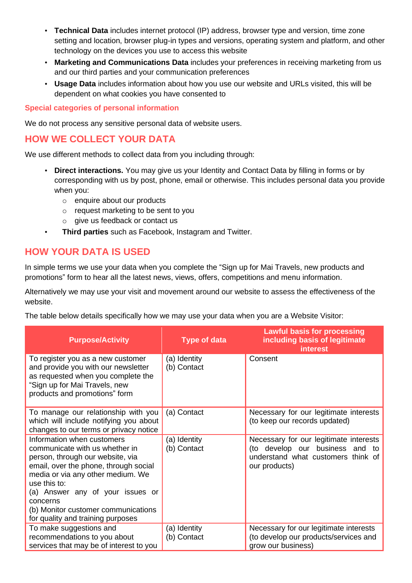- **Technical Data** includes internet protocol (IP) address, browser type and version, time zone setting and location, browser plug-in types and versions, operating system and platform, and other technology on the devices you use to access this website
- **Marketing and Communications Data** includes your preferences in receiving marketing from us and our third parties and your communication preferences
- **Usage Data** includes information about how you use our website and URLs visited, this will be dependent on what cookies you have consented to

#### **Special categories of personal information**

We do not process any sensitive personal data of website users.

## **HOW WE COLLECT YOUR DATA**

We use different methods to collect data from you including through:

- **Direct interactions.** You may give us your Identity and Contact Data by filling in forms or by corresponding with us by post, phone, email or otherwise. This includes personal data you provide when you:
	- o enquire about our products
	- o request marketing to be sent to you
	- o give us feedback or contact us
- **Third parties** such as Facebook, Instagram and Twitter.

## **HOW YOUR DATA IS USED**

In simple terms we use your data when you complete the "Sign up for Mai Travels, new products and promotions" form to hear all the latest news, views, offers, competitions and menu information.

Alternatively we may use your visit and movement around our website to assess the effectiveness of the website.

The table below details specifically how we may use your data when you are a Website Visitor:

| <b>Purpose/Activity</b>                                                                                                                                                                                                                                                                                                    | Type of data                | <b>Lawful basis for processing</b><br>including basis of legitimate<br><b>interest</b>                                           |
|----------------------------------------------------------------------------------------------------------------------------------------------------------------------------------------------------------------------------------------------------------------------------------------------------------------------------|-----------------------------|----------------------------------------------------------------------------------------------------------------------------------|
| To register you as a new customer<br>and provide you with our newsletter<br>as requested when you complete the<br>"Sign up for Mai Travels, new<br>products and promotions" form                                                                                                                                           | (a) Identity<br>(b) Contact | Consent                                                                                                                          |
| To manage our relationship with you<br>which will include notifying you about<br>changes to our terms or privacy notice                                                                                                                                                                                                    | (a) Contact                 | Necessary for our legitimate interests<br>(to keep our records updated)                                                          |
| Information when customers<br>communicate with us whether in<br>person, through our website, via<br>email, over the phone, through social<br>media or via any other medium. We<br>use this to:<br>(a) Answer any of your issues or<br>concerns<br>(b) Monitor customer communications<br>for quality and training purposes | (a) Identity<br>(b) Contact | Necessary for our legitimate interests<br>(to develop our business and to<br>understand what customers think of<br>our products) |
| To make suggestions and<br>recommendations to you about<br>services that may be of interest to you                                                                                                                                                                                                                         | (a) Identity<br>(b) Contact | Necessary for our legitimate interests<br>(to develop our products/services and<br>grow our business)                            |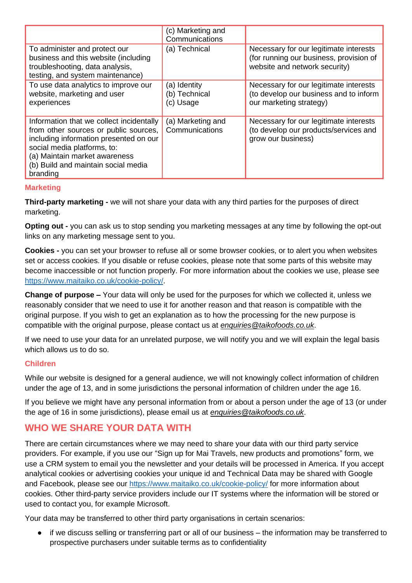|                                                                                                                                                                                                                                                | (c) Marketing and<br>Communications        |                                                                                                                    |
|------------------------------------------------------------------------------------------------------------------------------------------------------------------------------------------------------------------------------------------------|--------------------------------------------|--------------------------------------------------------------------------------------------------------------------|
| To administer and protect our<br>business and this website (including<br>troubleshooting, data analysis,<br>testing, and system maintenance)                                                                                                   | (a) Technical                              | Necessary for our legitimate interests<br>(for running our business, provision of<br>website and network security) |
| To use data analytics to improve our<br>website, marketing and user<br>experiences                                                                                                                                                             | (a) Identity<br>(b) Technical<br>(c) Usage | Necessary for our legitimate interests<br>(to develop our business and to inform<br>our marketing strategy)        |
| Information that we collect incidentally<br>from other sources or public sources,<br>including information presented on our<br>social media platforms, to:<br>(a) Maintain market awareness<br>(b) Build and maintain social media<br>branding | (a) Marketing and<br>Communications        | Necessary for our legitimate interests<br>(to develop our products/services and<br>grow our business)              |

## **Marketing**

**Third-party marketing -** we will not share your data with any third parties for the purposes of direct marketing.

**Opting out -** you can ask us to stop sending you marketing messages at any time by following the opt-out links on any marketing message sent to you.

**Cookies -** you can set your browser to refuse all or some browser cookies, or to alert you when websites set or access cookies. If you disable or refuse cookies, please note that some parts of this website may become inaccessible or not function properly. For more information about the cookies we use, please see [https://www.maitaiko.co.uk/cookie-policy/.](https://www.maitaiko.co.uk/cookie-policy/)

**Change of purpose –** Your data will only be used for the purposes for which we collected it, unless we reasonably consider that we need to use it for another reason and that reason is compatible with the original purpose. If you wish to get an explanation as to how the processing for the new purpose is compatible with the original purpose, please contact us at *[enquiries@taikofoods.co.uk](mailto:enquiries@taikofoods.co.uk)*.

If we need to use your data for an unrelated purpose, we will notify you and we will explain the legal basis which allows us to do so.

## **Children**

While our website is designed for a general audience, we will not knowingly collect information of children under the age of 13, and in some jurisdictions the personal information of children under the age 16.

If you believe we might have any personal information from or about a person under the age of 13 (or under the age of 16 in some jurisdictions), please email us at *[enquiries@taikofoods.co.uk](mailto:enquiries@taikofoods.co.uk)*.

# **WHO WE SHARE YOUR DATA WITH**

There are certain circumstances where we may need to share your data with our third party service providers. For example, if you use our "Sign up for Mai Travels, new products and promotions" form, we use a CRM system to email you the newsletter and your details will be processed in America. If you accept analytical cookies or advertising cookies your unique id and Technical Data may be shared with Google and Facebook, please see our<https://www.maitaiko.co.uk/cookie-policy/> for more information about cookies. Other third-party service providers include our IT systems where the information will be stored or used to contact you, for example Microsoft.

Your data may be transferred to other third party organisations in certain scenarios:

● if we discuss selling or transferring part or all of our business – the information may be transferred to prospective purchasers under suitable terms as to confidentiality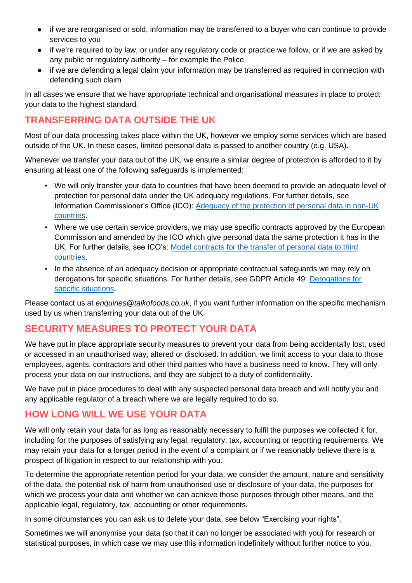- if we are reorganised or sold, information may be transferred to a buyer who can continue to provide services to you
- if we're required to by law, or under any regulatory code or practice we follow, or if we are asked by any public or regulatory authority – for example the Police
- if we are defending a legal claim your information may be transferred as required in connection with defending such claim

In all cases we ensure that we have appropriate technical and organisational measures in place to protect your data to the highest standard.

# **TRANSFERRING DATA OUTSIDE THE UK**

Most of our data processing takes place within the UK, however we employ some services which are based outside of the UK. In these cases, limited personal data is passed to another country (e.g. USA).

Whenever we transfer your data out of the UK, we ensure a similar degree of protection is afforded to it by ensuring at least one of the following safeguards is implemented:

- We will only transfer your data to countries that have been deemed to provide an adequate level of protection for personal data under the UK adequacy regulations. For further details, see Information Commissioner's Office (ICO): Adequacy of the [protection of personal data in non-UK](https://ico.org.uk/for-organisations/guide-to-data-protection/guide-to-the-general-data-protection-regulation-gdpr/international-transfers-after-uk-exit/#adequacy)  [countries.](https://ico.org.uk/for-organisations/guide-to-data-protection/guide-to-the-general-data-protection-regulation-gdpr/international-transfers-after-uk-exit/#adequacy)
- Where we use certain service providers, we may use specific contracts approved by the European Commission and amended by the ICO which give personal data the same protection it has in the UK. For further details, see ICO's: [Model contracts for the transfer of personal data to third](https://ico.org.uk/for-organisations/guide-to-data-protection/guide-to-the-general-data-protection-regulation-gdpr/international-transfers-after-uk-exit/sccs-after-transition-period/)  [countries.](https://ico.org.uk/for-organisations/guide-to-data-protection/guide-to-the-general-data-protection-regulation-gdpr/international-transfers-after-uk-exit/sccs-after-transition-period/)
- In the absence of an adequacy decision or appropriate contractual safeguards we may rely on derogations for specific situations. For further details, see GDPR Article 49: [Derogations for](https://gdpr-info.eu/art-49-gdpr/)  [specific situations.](https://gdpr-info.eu/art-49-gdpr/)

Please contact us at *[enquiries@taikofoods.co.uk](mailto:enquiries@taikofoods.co.uk)*, if you want further information on the specific mechanism used by us when transferring your data out of the UK.

# **SECURITY MEASURES TO PROTECT YOUR DATA**

We have put in place appropriate security measures to prevent your data from being accidentally lost, used or accessed in an unauthorised way, altered or disclosed. In addition, we limit access to your data to those employees, agents, contractors and other third parties who have a business need to know. They will only process your data on our instructions, and they are subject to a duty of confidentiality.

We have put in place procedures to deal with any suspected personal data breach and will notify you and any applicable regulator of a breach where we are legally required to do so.

# **HOW LONG WILL WE USE YOUR DATA**

We will only retain your data for as long as reasonably necessary to fulfil the purposes we collected it for, including for the purposes of satisfying any legal, regulatory, tax, accounting or reporting requirements. We may retain your data for a longer period in the event of a complaint or if we reasonably believe there is a prospect of litigation in respect to our relationship with you.

To determine the appropriate retention period for your data, we consider the amount, nature and sensitivity of the data, the potential risk of harm from unauthorised use or disclosure of your data, the purposes for which we process your data and whether we can achieve those purposes through other means, and the applicable legal, regulatory, tax, accounting or other requirements.

In some circumstances you can ask us to delete your data, see below "Exercising your rights".

Sometimes we will anonymise your data (so that it can no longer be associated with you) for research or statistical purposes, in which case we may use this information indefinitely without further notice to you.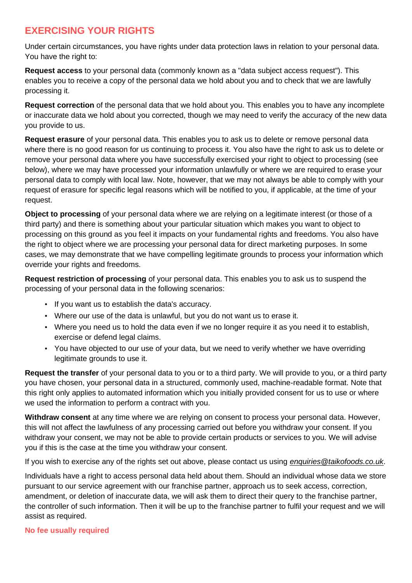# **EXERCISING YOUR RIGHTS**

Under certain circumstances, you have rights under data protection laws in relation to your personal data. You have the right to:

**Request access** to your personal data (commonly known as a "data subject access request"). This enables you to receive a copy of the personal data we hold about you and to check that we are lawfully processing it.

**Request correction** of the personal data that we hold about you. This enables you to have any incomplete or inaccurate data we hold about you corrected, though we may need to verify the accuracy of the new data you provide to us.

**Request erasure** of your personal data. This enables you to ask us to delete or remove personal data where there is no good reason for us continuing to process it. You also have the right to ask us to delete or remove your personal data where you have successfully exercised your right to object to processing (see below), where we may have processed your information unlawfully or where we are required to erase your personal data to comply with local law. Note, however, that we may not always be able to comply with your request of erasure for specific legal reasons which will be notified to you, if applicable, at the time of your request.

**Object to processing** of your personal data where we are relying on a legitimate interest (or those of a third party) and there is something about your particular situation which makes you want to object to processing on this ground as you feel it impacts on your fundamental rights and freedoms. You also have the right to object where we are processing your personal data for direct marketing purposes. In some cases, we may demonstrate that we have compelling legitimate grounds to process your information which override your rights and freedoms.

**Request restriction of processing** of your personal data. This enables you to ask us to suspend the processing of your personal data in the following scenarios:

- If you want us to establish the data's accuracy.
- Where our use of the data is unlawful, but you do not want us to erase it.
- Where you need us to hold the data even if we no longer require it as you need it to establish, exercise or defend legal claims.
- You have objected to our use of your data, but we need to verify whether we have overriding legitimate grounds to use it.

**Request the transfer** of your personal data to you or to a third party. We will provide to you, or a third party you have chosen, your personal data in a structured, commonly used, machine-readable format. Note that this right only applies to automated information which you initially provided consent for us to use or where we used the information to perform a contract with you.

**Withdraw consent** at any time where we are relying on consent to process your personal data. However, this will not affect the lawfulness of any processing carried out before you withdraw your consent. If you withdraw your consent, we may not be able to provide certain products or services to you. We will advise you if this is the case at the time you withdraw your consent.

If you wish to exercise any of the rights set out above, please contact us using *[enquiries@taikofoods.co.uk](mailto:enquiries@taikofoods.co.uk)*.

Individuals have a right to access personal data held about them. Should an individual whose data we store pursuant to our service agreement with our franchise partner, approach us to seek access, correction, amendment, or deletion of inaccurate data, we will ask them to direct their query to the franchise partner, the controller of such information. Then it will be up to the franchise partner to fulfil your request and we will assist as required.

## **No fee usually required**